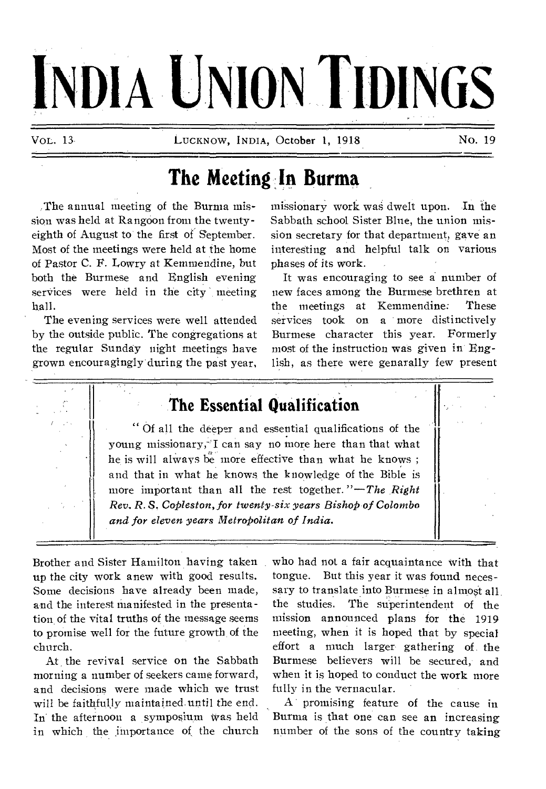# **INDIA UNION TIDINGS**

VOL. 13 LUCKNOW, INDIA, October 1, 1918 No. 19

# **The Meeting In Burma**

,The annual meeting of the Burma mission was held at Rangoon from the twentyeighth of August to the first of September. Most of the meetings were held at the home of Pastor C. F. Lowry at Kemmendine, but both the Burmese and English evening services were held in the city meeting hall.

The evening services were well attended by the outside public. The congregations at the regular Sunday night meetings have grown encouragingly during the past year, missionary work was dwelt upon. In the Sabbath school Sister Blue, the union mission secretary for that department, gave an interesting and helpful talk on various phases of its work.

It was encouraging to see a number of new faces among the Burmese brethren at the meetings at Kemmendine: These services took on a more distinctively Burmese character this year. Formerly most of the instruction was given in English, as there were genarally few present

## **The Essential Qualification**

Of all the deeper and essential qualifications of the young missionary, I can say no more here than that what he is will always be more effective than what he knows ; and that in what he knows the knowledge of the Bible is more important than all the rest together. *"—The Right Rev, R. S. Copleston, for twenty-six years Bishop of Colombo and for eleven years Metropolitan of India.* 

Brother and Sister Hamilton having taken up the city work anew with good results. Some decisions have already been made, and the interest manifested in the presentation. of the vital truths of the message seems to promise well for the future growth of the church.

At the revival service on the Sabbath morning a number of seekers came forward, and decisions were made which we trust will be faithfully maintained. until the end. In the afternoon a symposium Was held in which the importance of the church who had not a fair acquaintance with that tongue. But this year it was found necessary to translate into Burmese in almost all, the studies. The superintendent of the mission announced plans for the 1919 meeting, when it is hoped that by special effort a much larger gathering of the Burmese believers will be secured, and when it is hoped to conduct the work more fully in the vernacular.

promising feature of the cause in Burma is that one can see an increasing number of the sons of the country taking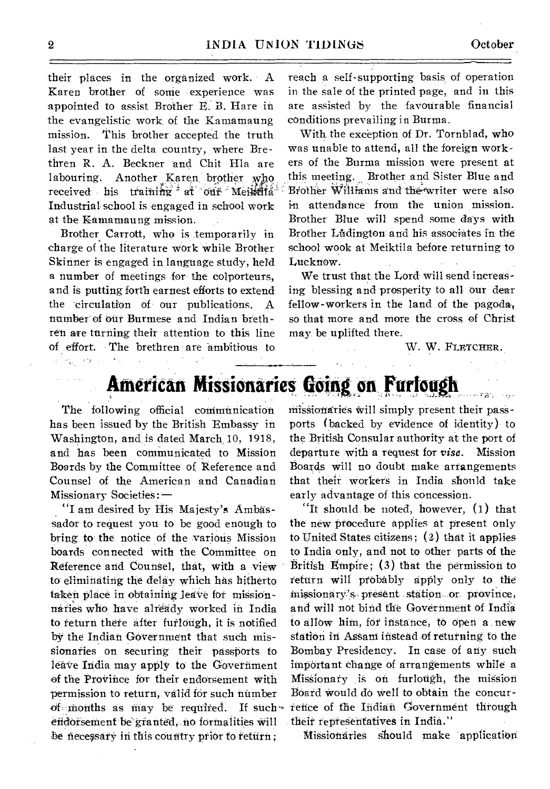their places in the organized work. A Karen brother of some experience was appointed to assist Brother E.' B. Hare in the evangelistic work of the Kamamaung mission. This brother accepted the truth last year in the delta country, where Brethren R. A. Beckner and Chit Hla are labouring. Another Karen brother who received his training at our Meilenia Industrial school, is .engaged in school work at the Kamamaung mission.

Brother Carrott, who is temporarily in charge of the literature work while Brother Skinner is engaged in language study, held a number of meetings for the colporteurs, and is putting forth earnest efforts to extend the circulation of our publications. A number' of out Burmese and Indian brethren are turning their attention to this line of effort. The brethren are 'ambitious to reach a self-supporting basis, of operation in the sale of the printed page, and in this are assisted by the favourable financial conditions prevailing in Burma.

With the exception of Dr. Tornblad, who was unable to attend, all the foreign workers of the Burma mission were present at this meeting. Brother and Sister Blue and Brother Williams and the writer were also in attendance-from the union mission. Brother Blue will spend some days with Brother Ludington and his associates in the school wook at Meiktila before returning to Lucknow.

We trust that the Lord will send increasing blessing and prosperity to all Our dear fellow-workers in the land of the pagoda, so that more and more the cross of Christ may be uplifted there.

W. W. FLETCHER.

## **American Missionaries Going on Furlough**

The following official communication has been issued by the British Embassy in Washington, and is dated March 10, 1918, and has been communicated to Mission Boards by the Committee of Reference and Counsel of the American and Canadian Missionary Societies: —

"I am desired by His Majesty's Ambassador to request you to be good enough to bring to the notice of the various Mission boards connected with the Committee on Reference and Counsel, that, with a view to eliminating the delay which has hitherto taken place in obtaining leave for missionnaries who have already worked in India to return there after furlough, it is notified by the Indian Government that such missionaries on securing their passports to leave India may apply to the Government of the Province for their endorsement with permission to return, valid for such number of months as may be required. If such $\sim$ endorsement be granted, no formalities will be necessary in this country prior to return;

missionaries will simply present their passports (backed by evidence of identity) to the British Consular authority at the port of departure with a request for *vise.* Mission Boards will no doubt make arrangements that their workers in India should take early advantage of this concession.

"It should be noted, however, (1) that the new procedure applies at present only to United States citizens; (a) that it applies to India only, and not to other parts of the British Empire;  $(3)$  that the permission to teturn will ptobably apply only to the missionary's present station or province, and will not bind the Government of India to allow him, fOr instance, to Open a new station in AsSani instead of returning to, the Bombay Presidency. In case of any such important Change of arrangements while a Missionary is on furlough, the mission Board would do well to obtain the concur refice of the Indian Government through their representatives in India."

Missionaries should make application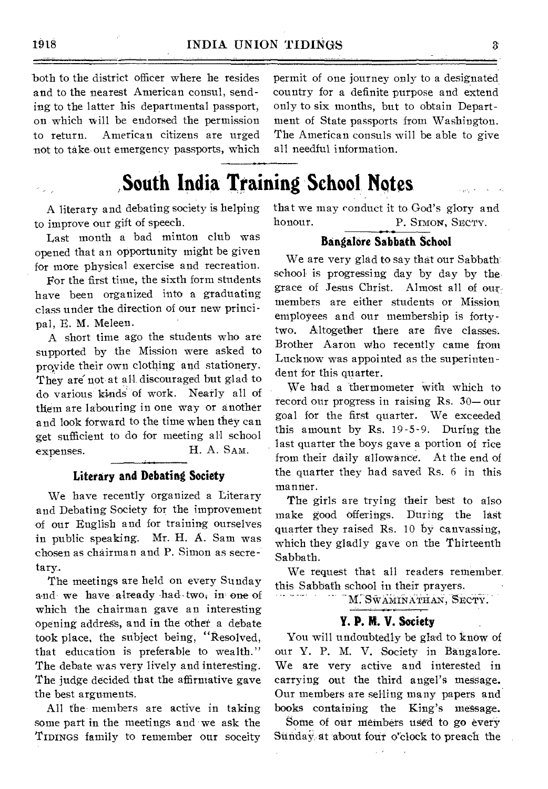both to the district officer where he resides and to the nearest American consul, sending to the latter his departmental passport, on which will be endorsed the permission to return. American citizens are urged not to take out emergency passports, which permit of one journey only to a designated country for a definite purpose and extend only to six months, but to obtain Department of State passports from Washington. The American consuls will be able to give all needful information.

# **South India Training School Notes**

A literary and debating society is helping to improve our gift of speech.

Last month a bad minton club was opened that an opportunity might be given for more physical exercise and recreation.

For the first time, the sixth form students have been organized into a graduating class under the direction of our new principal, E. M. Meleen.

A short time ago the students who are supported by the Mission were asked to provide their own clothing and stationery. They are not at all discouraged but glad to do various kinds' of work. Nearly all of them are labouring in one way or another and look forward to the time when they can get sufficient to do for meeting all school expenses. H. A. SAM.

## Literary and Debating Society

We have recently organized a Literary and Debating Society for the improvement of our English and for training ourselves in public speaking. Mr. H. A. Sam was chosen as chairman and P. Simon as secretary.

The meetings are held on every Sunday and we have already had two; in one of which the chairman gave an interesting opening address, and in the other a debate took place, the subject being, "Resolved, that education is preferable to wealth." The debate was very lively and interesting. The judge decided that the affirmative gave the best arguments.

All the members are active in taking some part in the meetings and we ask the TIDINGS family to remember our soceity that we may conduct it to God's glory and honour. P. SIMON, SECTY.

## Bangalore Sabbath School

We are very glad to say that our Sabbath school is progressing day by day by the, grace of Jesus Christ. Almost all of ourmembers are either students or Mission employees and our membership is fortytwo. Altogether there are five classes. Brother Aaron Who recently came from Lucknow was appointed as the superintendent for this quarter.

We had a thermometer with which to record our progress in raising Rs. 30— our goal for the first quarter. We exceeded this amount by Rs. 19-5-9. During the last quarter the boys gave a portion of rice from their daily allowance. At the end of the quarter they had saved Rs. 6 in this manner.

The girls are trying their best to also make good offerings. During the last quarter they raised Rs. 10 by canvassing, which they gladly gave on the Thirteenth Sabbath.

We request that all readers remember. this Sabbath school in their prayers.

M. SWAMINATHAN, SECTY.

## Y. P. M. V. Society

You will undoubtedly be glad to know of our Y. P. M. V. Society in Bangalore. We are very active and interested in carrying out the third angel's message. Our members are selling many papers and books containing the King's message.

Some of our members used to go every Sunday at about four o'clock to preach the

 $\sim$   $\sim$